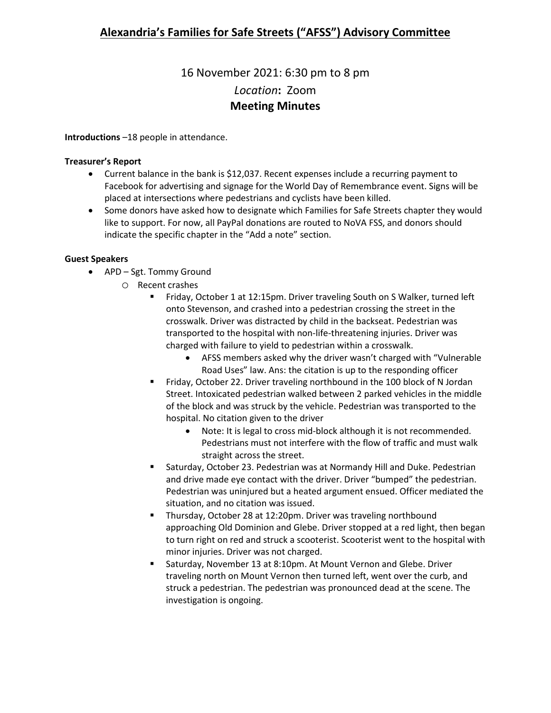# 16 November 2021: 6:30 pm to 8 pm *Location***:** Zoom **Meeting Minutes**

**Introductions** –18 people in attendance.

### **Treasurer's Report**

- Current balance in the bank is \$12,037. Recent expenses include a recurring payment to Facebook for advertising and signage for the World Day of Remembrance event. Signs will be placed at intersections where pedestrians and cyclists have been killed.
- Some donors have asked how to designate which Families for Safe Streets chapter they would like to support. For now, all PayPal donations are routed to NoVA FSS, and donors should indicate the specific chapter in the "Add a note" section.

### **Guest Speakers**

- APD Sgt. Tommy Ground
	- O Recent crashes<br>P Friday C
		- Friday, October 1 at 12:15pm. Driver traveling South on S Walker, turned left onto Stevenson, and crashed into a pedestrian crossing the street in the crosswalk. Driver was distracted by child in the backseat. Pedestrian was transported to the hospital with non-life-threatening injuries. Driver was charged with failure to yield to pedestrian within a crosswalk.
			- AFSS members asked why the driver wasn't charged with "Vulnerable Road Uses" law. Ans: the citation is up to the responding officer
		- **Fiday, October 22. Driver traveling northbound in the 100 block of N Jordan** Street. Intoxicated pedestrian walked between 2 parked vehicles in the middle of the block and was struck by the vehicle. Pedestrian was transported to the hospital. No citation given to the driver
			- Note: It is legal to cross mid-block although it is not recommended. Pedestrians must not interfere with the flow of traffic and must walk straight across the street.
		- Saturday, October 23. Pedestrian was at Normandy Hill and Duke. Pedestrian and drive made eye contact with the driver. Driver "bumped" the pedestrian. Pedestrian was uninjured but a heated argument ensued. Officer mediated the situation, and no citation was issued.
		- **Thursday, October 28 at 12:20pm. Driver was traveling northbound** approaching Old Dominion and Glebe. Driver stopped at a red light, then began to turn right on red and struck a scooterist. Scooterist went to the hospital with minor injuries. Driver was not charged.
		- Saturday, November 13 at 8:10pm. At Mount Vernon and Glebe. Driver traveling north on Mount Vernon then turned left, went over the curb, and struck a pedestrian. The pedestrian was pronounced dead at the scene. The investigation is ongoing.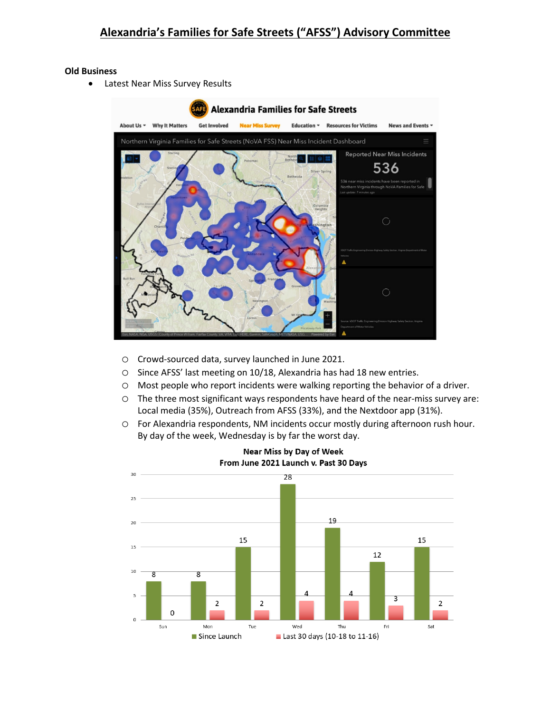#### **Old Business**

• Latest Near Miss Survey Results



- o Crowd-sourced data, survey launched in June 2021.
- o Since AFSS' last meeting on 10/18, Alexandria has had 18 new entries.
- o Most people who report incidents were walking reporting the behavior of a driver.
- o The three most significant ways respondents have heard of the near-miss survey are: Local media (35%), Outreach from AFSS (33%), and the Nextdoor app (31%).
- o For Alexandria respondents, NM incidents occur mostly during afternoon rush hour. By day of the week, Wednesday is by far the worst day.



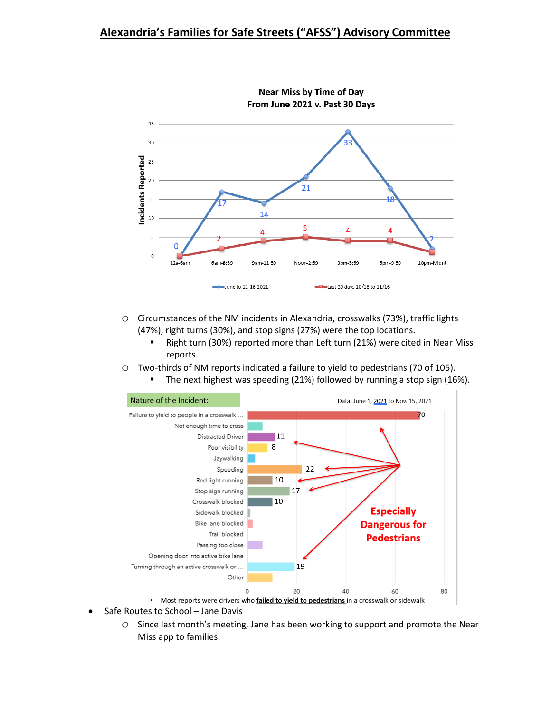# **Alexandria's Families for Safe Streets ("AFSS") Advisory Committee**



**Near Miss by Time of Day** From June 2021 v. Past 30 Days

- o Circumstances of the NM incidents in Alexandria, crosswalks (73%), traffic lights (47%), right turns (30%), and stop signs (27%) were the top locations.
	- Right turn (30%) reported more than Left turn (21%) were cited in Near Miss reports.
- o Two-thirds of NM reports indicated a failure to yield to pedestrians (70 of 105).
	- The next highest was speeding (21%) followed by running a stop sign (16%).



- Safe Routes to School Jane Davis
	- o Since last month's meeting, Jane has been working to support and promote the Near Miss app to families.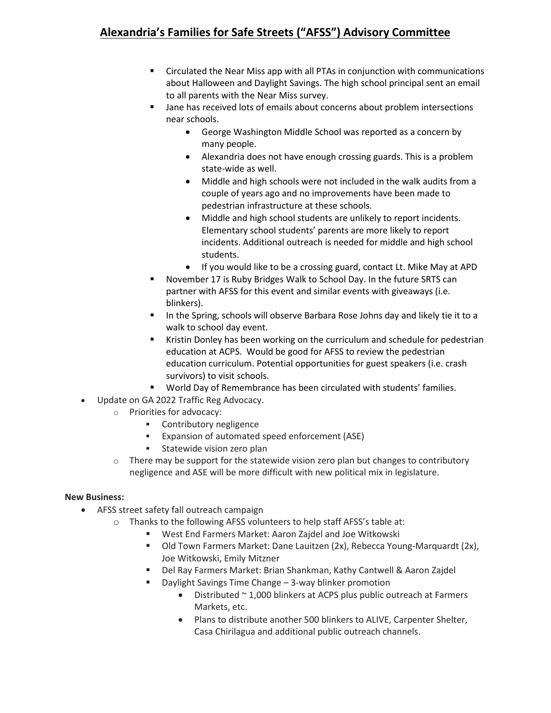# **Alexandria's Families for Safe Streets ("AFSS") Advisory Committee**

- Circulated the Near Miss app with all PTAs in conjunction with communications about Halloween and Daylight Savings. The high school principal sent an email to all parents with the Near Miss survey.
- **Jane has received lots of emails about concerns about problem intersections** near schools.
	- George Washington Middle School was reported as a concern by many people.
	- Alexandria does not have enough crossing guards. This is a problem state-wide as well.
	- Middle and high schools were not included in the walk audits from a couple of years ago and no improvements have been made to pedestrian infrastructure at these schools.
	- Middle and high school students are unlikely to report incidents. Elementary school students' parents are more likely to report incidents. Additional outreach is needed for middle and high school students.
	- If you would like to be a crossing guard, contact Lt. Mike May at APD
- November 17 is Ruby Bridges Walk to School Day. In the future SRTS can partner with AFSS for this event and similar events with giveaways (i.e. blinkers).
- In the Spring, schools will observe Barbara Rose Johns day and likely tie it to a walk to school day event.
- **Kristin Donley has been working on the curriculum and schedule for pedestrian** education at ACPS. Would be good for AFSS to review the pedestrian education curriculum. Potential opportunities for guest speakers (i.e. crash survivors) to visit schools.
- World Day of Remembrance has been circulated with students' families.
- Update on GA 2022 Traffic Reg Advocacy.
	- o Priorities for advocacy:
		- **•** Contributory negligence
		- Expansion of automated speed enforcement (ASE)
		- **Statewide vision zero plan**
	- $\circ$  There may be support for the statewide vision zero plan but changes to contributory negligence and ASE will be more difficult with new political mix in legislature.

## **New Business:**

- AFSS street safety fall outreach campaign
	- o Thanks to the following AFSS volunteers to help staff AFSS's table at:
		- West End Farmers Market: Aaron Zajdel and Joe Witkowski
		- Old Town Farmers Market: Dane Lauitzen (2x), Rebecca Young-Marquardt (2x), Joe Witkowski, Emily Mitzner
		- Del Ray Farmers Market: Brian Shankman, Kathy Cantwell & Aaron Zajdel
		- Daylight Savings Time Change 3-way blinker promotion
			- Distributed ~ 1,000 blinkers at ACPS plus public outreach at Farmers Markets, etc.
			- Plans to distribute another 500 blinkers to ALIVE, Carpenter Shelter, Casa Chirilagua and additional public outreach channels.